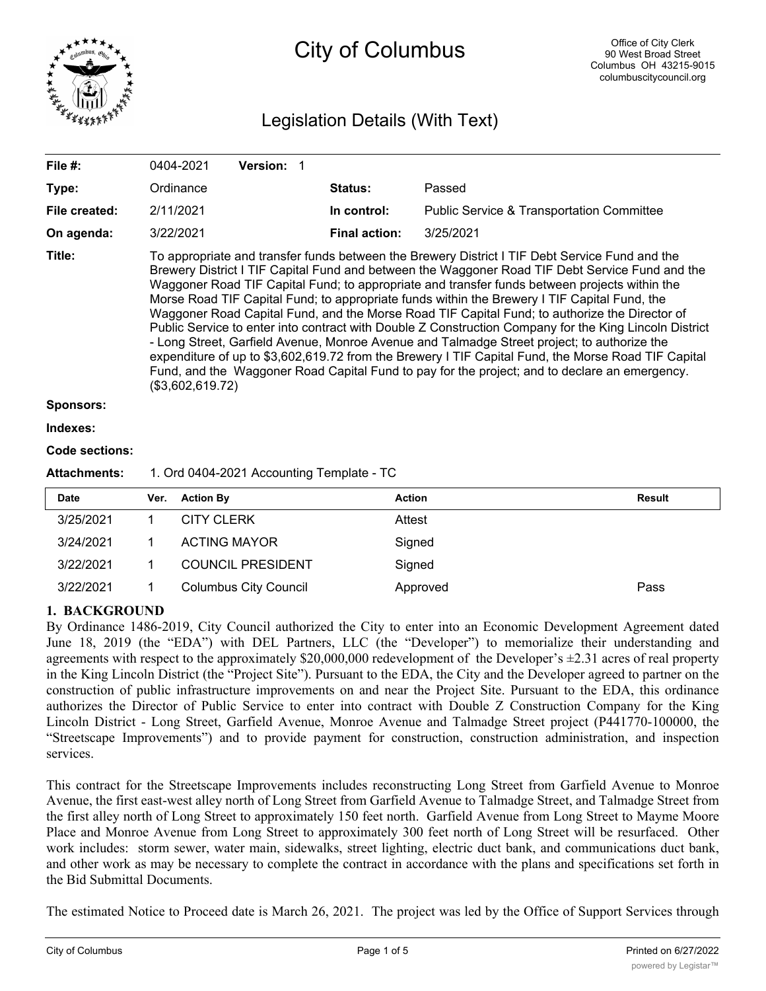

# City of Columbus

# Legislation Details (With Text)

| File #:          | 0404-2021                                                                                                                                                                                                                                                                                                                                                                                                                                                                                                                                                                                                                                                                                                                                                                                                                                                                                                                                | <b>Version: 1</b> |                      |                                                      |  |  |  |  |
|------------------|------------------------------------------------------------------------------------------------------------------------------------------------------------------------------------------------------------------------------------------------------------------------------------------------------------------------------------------------------------------------------------------------------------------------------------------------------------------------------------------------------------------------------------------------------------------------------------------------------------------------------------------------------------------------------------------------------------------------------------------------------------------------------------------------------------------------------------------------------------------------------------------------------------------------------------------|-------------------|----------------------|------------------------------------------------------|--|--|--|--|
| Type:            | Ordinance                                                                                                                                                                                                                                                                                                                                                                                                                                                                                                                                                                                                                                                                                                                                                                                                                                                                                                                                |                   | <b>Status:</b>       | Passed                                               |  |  |  |  |
| File created:    | 2/11/2021                                                                                                                                                                                                                                                                                                                                                                                                                                                                                                                                                                                                                                                                                                                                                                                                                                                                                                                                |                   | In control:          | <b>Public Service &amp; Transportation Committee</b> |  |  |  |  |
| On agenda:       | 3/22/2021                                                                                                                                                                                                                                                                                                                                                                                                                                                                                                                                                                                                                                                                                                                                                                                                                                                                                                                                |                   | <b>Final action:</b> | 3/25/2021                                            |  |  |  |  |
| Title:           | To appropriate and transfer funds between the Brewery District I TIF Debt Service Fund and the<br>Brewery District I TIF Capital Fund and between the Waggoner Road TIF Debt Service Fund and the<br>Waggoner Road TIF Capital Fund; to appropriate and transfer funds between projects within the<br>Morse Road TIF Capital Fund; to appropriate funds within the Brewery I TIF Capital Fund, the<br>Waggoner Road Capital Fund, and the Morse Road TIF Capital Fund; to authorize the Director of<br>Public Service to enter into contract with Double Z Construction Company for the King Lincoln District<br>- Long Street, Garfield Avenue, Monroe Avenue and Talmadge Street project; to authorize the<br>expenditure of up to \$3,602,619.72 from the Brewery I TIF Capital Fund, the Morse Road TIF Capital<br>Fund, and the Waggoner Road Capital Fund to pay for the project; and to declare an emergency.<br>(\$3,602,619.72) |                   |                      |                                                      |  |  |  |  |
| <b>Sponsors:</b> |                                                                                                                                                                                                                                                                                                                                                                                                                                                                                                                                                                                                                                                                                                                                                                                                                                                                                                                                          |                   |                      |                                                      |  |  |  |  |
| Indexes:         |                                                                                                                                                                                                                                                                                                                                                                                                                                                                                                                                                                                                                                                                                                                                                                                                                                                                                                                                          |                   |                      |                                                      |  |  |  |  |
| Code sections:   |                                                                                                                                                                                                                                                                                                                                                                                                                                                                                                                                                                                                                                                                                                                                                                                                                                                                                                                                          |                   |                      |                                                      |  |  |  |  |

#### **Attachments:** 1. Ord 0404-2021 Accounting Template - TC

| <b>Date</b> | Ver. | <b>Action By</b>             | <b>Action</b> | <b>Result</b> |
|-------------|------|------------------------------|---------------|---------------|
| 3/25/2021   |      | <b>CITY CLERK</b>            | Attest        |               |
| 3/24/2021   |      | ACTING MAYOR                 | Signed        |               |
| 3/22/2021   |      | <b>COUNCIL PRESIDENT</b>     | Signed        |               |
| 3/22/2021   |      | <b>Columbus City Council</b> | Approved      | Pass          |

## **1. BACKGROUND**

By Ordinance 1486-2019, City Council authorized the City to enter into an Economic Development Agreement dated June 18, 2019 (the "EDA") with DEL Partners, LLC (the "Developer") to memorialize their understanding and agreements with respect to the approximately \$20,000,000 redevelopment of the Developer's  $\pm 2.31$  acres of real property in the King Lincoln District (the "Project Site"). Pursuant to the EDA, the City and the Developer agreed to partner on the construction of public infrastructure improvements on and near the Project Site. Pursuant to the EDA, this ordinance authorizes the Director of Public Service to enter into contract with Double Z Construction Company for the King Lincoln District - Long Street, Garfield Avenue, Monroe Avenue and Talmadge Street project (P441770-100000, the "Streetscape Improvements") and to provide payment for construction, construction administration, and inspection services.

This contract for the Streetscape Improvements includes reconstructing Long Street from Garfield Avenue to Monroe Avenue, the first east-west alley north of Long Street from Garfield Avenue to Talmadge Street, and Talmadge Street from the first alley north of Long Street to approximately 150 feet north. Garfield Avenue from Long Street to Mayme Moore Place and Monroe Avenue from Long Street to approximately 300 feet north of Long Street will be resurfaced. Other work includes: storm sewer, water main, sidewalks, street lighting, electric duct bank, and communications duct bank, and other work as may be necessary to complete the contract in accordance with the plans and specifications set forth in the Bid Submittal Documents.

The estimated Notice to Proceed date is March 26, 2021. The project was led by the Office of Support Services through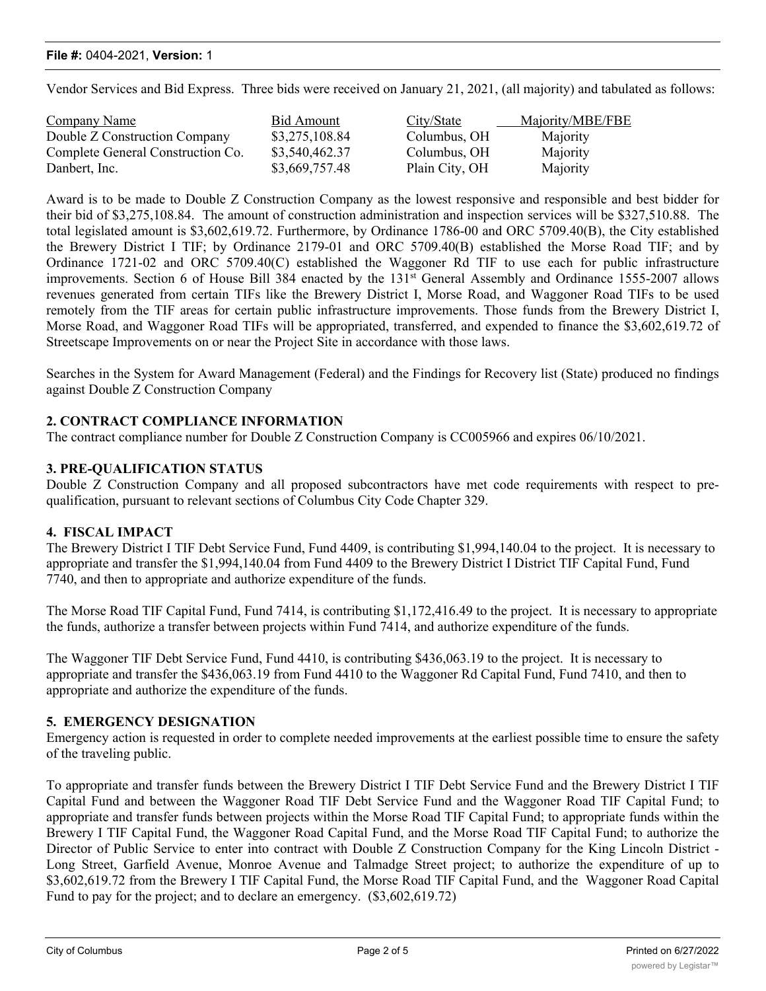#### **File #:** 0404-2021, **Version:** 1

Vendor Services and Bid Express. Three bids were received on January 21, 2021, (all majority) and tabulated as follows:

| <b>Company Name</b>               | Bid Amount     | City/State     | Majority/MBE/FBE |
|-----------------------------------|----------------|----------------|------------------|
| Double Z Construction Company     | \$3,275,108.84 | Columbus, OH   | Majority         |
| Complete General Construction Co. | \$3,540,462.37 | Columbus, OH   | Majority         |
| Danbert, Inc.                     | \$3,669,757.48 | Plain City, OH | Majority         |

Award is to be made to Double Z Construction Company as the lowest responsive and responsible and best bidder for their bid of \$3,275,108.84. The amount of construction administration and inspection services will be \$327,510.88. The total legislated amount is \$3,602,619.72. Furthermore, by Ordinance 1786-00 and ORC 5709.40(B), the City established the Brewery District I TIF; by Ordinance 2179-01 and ORC 5709.40(B) established the Morse Road TIF; and by Ordinance 1721-02 and ORC 5709.40(C) established the Waggoner Rd TIF to use each for public infrastructure improvements. Section 6 of House Bill 384 enacted by the 131<sup>st</sup> General Assembly and Ordinance 1555-2007 allows revenues generated from certain TIFs like the Brewery District I, Morse Road, and Waggoner Road TIFs to be used remotely from the TIF areas for certain public infrastructure improvements. Those funds from the Brewery District I, Morse Road, and Waggoner Road TIFs will be appropriated, transferred, and expended to finance the \$3,602,619.72 of Streetscape Improvements on or near the Project Site in accordance with those laws.

Searches in the System for Award Management (Federal) and the Findings for Recovery list (State) produced no findings against Double Z Construction Company

#### **2. CONTRACT COMPLIANCE INFORMATION**

The contract compliance number for Double Z Construction Company is CC005966 and expires 06/10/2021.

#### **3. PRE-QUALIFICATION STATUS**

Double Z Construction Company and all proposed subcontractors have met code requirements with respect to prequalification, pursuant to relevant sections of Columbus City Code Chapter 329.

#### **4. FISCAL IMPACT**

The Brewery District I TIF Debt Service Fund, Fund 4409, is contributing \$1,994,140.04 to the project. It is necessary to appropriate and transfer the \$1,994,140.04 from Fund 4409 to the Brewery District I District TIF Capital Fund, Fund 7740, and then to appropriate and authorize expenditure of the funds.

The Morse Road TIF Capital Fund, Fund 7414, is contributing \$1,172,416.49 to the project. It is necessary to appropriate the funds, authorize a transfer between projects within Fund 7414, and authorize expenditure of the funds.

The Waggoner TIF Debt Service Fund, Fund 4410, is contributing \$436,063.19 to the project. It is necessary to appropriate and transfer the \$436,063.19 from Fund 4410 to the Waggoner Rd Capital Fund, Fund 7410, and then to appropriate and authorize the expenditure of the funds.

#### **5. EMERGENCY DESIGNATION**

Emergency action is requested in order to complete needed improvements at the earliest possible time to ensure the safety of the traveling public.

To appropriate and transfer funds between the Brewery District I TIF Debt Service Fund and the Brewery District I TIF Capital Fund and between the Waggoner Road TIF Debt Service Fund and the Waggoner Road TIF Capital Fund; to appropriate and transfer funds between projects within the Morse Road TIF Capital Fund; to appropriate funds within the Brewery I TIF Capital Fund, the Waggoner Road Capital Fund, and the Morse Road TIF Capital Fund; to authorize the Director of Public Service to enter into contract with Double Z Construction Company for the King Lincoln District - Long Street, Garfield Avenue, Monroe Avenue and Talmadge Street project; to authorize the expenditure of up to \$3,602,619.72 from the Brewery I TIF Capital Fund, the Morse Road TIF Capital Fund, and the Waggoner Road Capital Fund to pay for the project; and to declare an emergency. (\$3,602,619.72)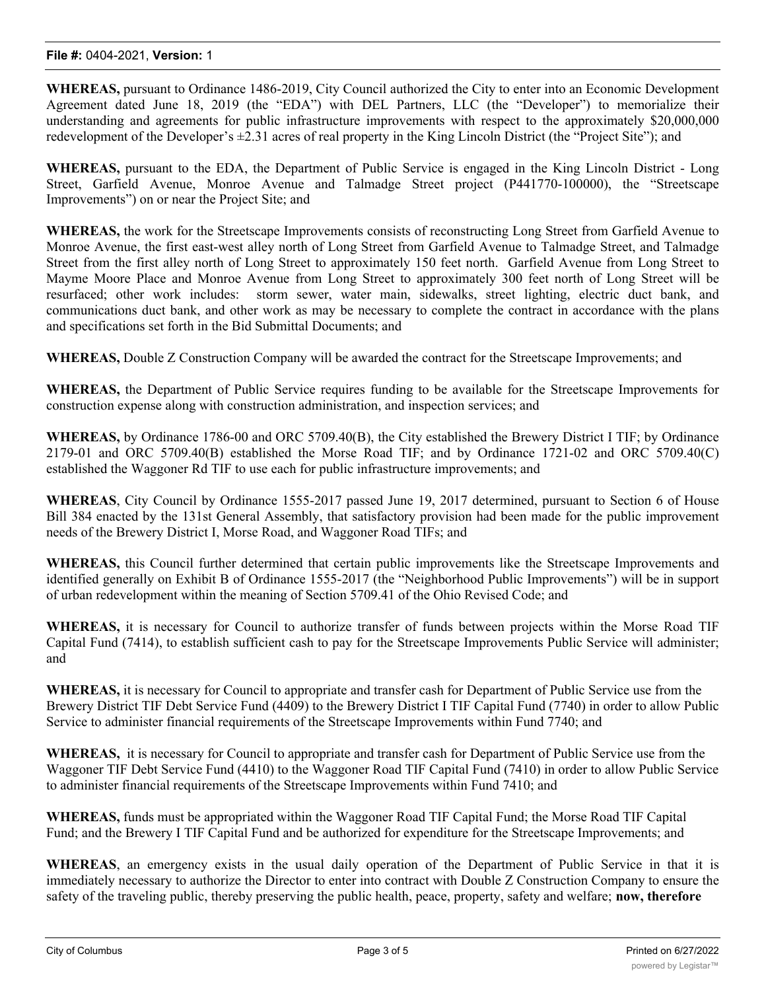**WHEREAS,** pursuant to Ordinance 1486-2019, City Council authorized the City to enter into an Economic Development Agreement dated June 18, 2019 (the "EDA") with DEL Partners, LLC (the "Developer") to memorialize their understanding and agreements for public infrastructure improvements with respect to the approximately \$20,000,000 redevelopment of the Developer's ±2.31 acres of real property in the King Lincoln District (the "Project Site"); and

**WHEREAS,** pursuant to the EDA, the Department of Public Service is engaged in the King Lincoln District - Long Street, Garfield Avenue, Monroe Avenue and Talmadge Street project (P441770-100000), the "Streetscape Improvements") on or near the Project Site; and

**WHEREAS,** the work for the Streetscape Improvements consists of reconstructing Long Street from Garfield Avenue to Monroe Avenue, the first east-west alley north of Long Street from Garfield Avenue to Talmadge Street, and Talmadge Street from the first alley north of Long Street to approximately 150 feet north. Garfield Avenue from Long Street to Mayme Moore Place and Monroe Avenue from Long Street to approximately 300 feet north of Long Street will be resurfaced; other work includes: storm sewer, water main, sidewalks, street lighting, electric duct bank, and communications duct bank, and other work as may be necessary to complete the contract in accordance with the plans and specifications set forth in the Bid Submittal Documents; and

**WHEREAS,** Double Z Construction Company will be awarded the contract for the Streetscape Improvements; and

**WHEREAS,** the Department of Public Service requires funding to be available for the Streetscape Improvements for construction expense along with construction administration, and inspection services; and

**WHEREAS,** by Ordinance 1786-00 and ORC 5709.40(B), the City established the Brewery District I TIF; by Ordinance 2179-01 and ORC 5709.40(B) established the Morse Road TIF; and by Ordinance 1721-02 and ORC 5709.40(C) established the Waggoner Rd TIF to use each for public infrastructure improvements; and

**WHEREAS**, City Council by Ordinance 1555-2017 passed June 19, 2017 determined, pursuant to Section 6 of House Bill 384 enacted by the 131st General Assembly, that satisfactory provision had been made for the public improvement needs of the Brewery District I, Morse Road, and Waggoner Road TIFs; and

**WHEREAS,** this Council further determined that certain public improvements like the Streetscape Improvements and identified generally on Exhibit B of Ordinance 1555-2017 (the "Neighborhood Public Improvements") will be in support of urban redevelopment within the meaning of Section 5709.41 of the Ohio Revised Code; and

**WHEREAS,** it is necessary for Council to authorize transfer of funds between projects within the Morse Road TIF Capital Fund (7414), to establish sufficient cash to pay for the Streetscape Improvements Public Service will administer; and

**WHEREAS,** it is necessary for Council to appropriate and transfer cash for Department of Public Service use from the Brewery District TIF Debt Service Fund (4409) to the Brewery District I TIF Capital Fund (7740) in order to allow Public Service to administer financial requirements of the Streetscape Improvements within Fund 7740; and

**WHEREAS,** it is necessary for Council to appropriate and transfer cash for Department of Public Service use from the Waggoner TIF Debt Service Fund (4410) to the Waggoner Road TIF Capital Fund (7410) in order to allow Public Service to administer financial requirements of the Streetscape Improvements within Fund 7410; and

**WHEREAS,** funds must be appropriated within the Waggoner Road TIF Capital Fund; the Morse Road TIF Capital Fund; and the Brewery I TIF Capital Fund and be authorized for expenditure for the Streetscape Improvements; and

**WHEREAS**, an emergency exists in the usual daily operation of the Department of Public Service in that it is immediately necessary to authorize the Director to enter into contract with Double Z Construction Company to ensure the safety of the traveling public, thereby preserving the public health, peace, property, safety and welfare; **now, therefore**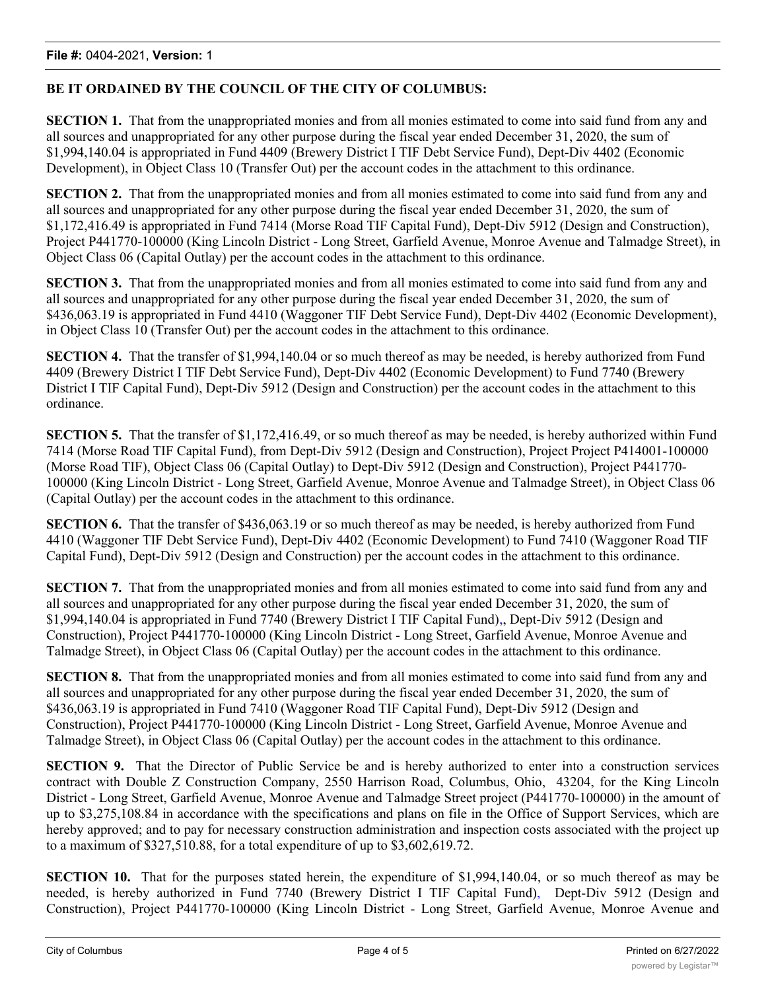### **BE IT ORDAINED BY THE COUNCIL OF THE CITY OF COLUMBUS:**

**SECTION 1.** That from the unappropriated monies and from all monies estimated to come into said fund from any and all sources and unappropriated for any other purpose during the fiscal year ended December 31, 2020, the sum of \$1,994,140.04 is appropriated in Fund 4409 (Brewery District I TIF Debt Service Fund), Dept-Div 4402 (Economic Development), in Object Class 10 (Transfer Out) per the account codes in the attachment to this ordinance.

**SECTION 2.** That from the unappropriated monies and from all monies estimated to come into said fund from any and all sources and unappropriated for any other purpose during the fiscal year ended December 31, 2020, the sum of \$1,172,416.49 is appropriated in Fund 7414 (Morse Road TIF Capital Fund), Dept-Div 5912 (Design and Construction), Project P441770-100000 (King Lincoln District - Long Street, Garfield Avenue, Monroe Avenue and Talmadge Street), in Object Class 06 (Capital Outlay) per the account codes in the attachment to this ordinance.

**SECTION 3.** That from the unappropriated monies and from all monies estimated to come into said fund from any and all sources and unappropriated for any other purpose during the fiscal year ended December 31, 2020, the sum of \$436,063.19 is appropriated in Fund 4410 (Waggoner TIF Debt Service Fund), Dept-Div 4402 (Economic Development), in Object Class 10 (Transfer Out) per the account codes in the attachment to this ordinance.

**SECTION 4.** That the transfer of \$1,994,140.04 or so much thereof as may be needed, is hereby authorized from Fund 4409 (Brewery District I TIF Debt Service Fund), Dept-Div 4402 (Economic Development) to Fund 7740 (Brewery District I TIF Capital Fund), Dept-Div 5912 (Design and Construction) per the account codes in the attachment to this ordinance.

**SECTION 5.** That the transfer of \$1,172,416.49, or so much thereof as may be needed, is hereby authorized within Fund 7414 (Morse Road TIF Capital Fund), from Dept-Div 5912 (Design and Construction), Project Project P414001-100000 (Morse Road TIF), Object Class 06 (Capital Outlay) to Dept-Div 5912 (Design and Construction), Project P441770- 100000 (King Lincoln District - Long Street, Garfield Avenue, Monroe Avenue and Talmadge Street), in Object Class 06 (Capital Outlay) per the account codes in the attachment to this ordinance.

**SECTION 6.** That the transfer of \$436,063.19 or so much thereof as may be needed, is hereby authorized from Fund 4410 (Waggoner TIF Debt Service Fund), Dept-Div 4402 (Economic Development) to Fund 7410 (Waggoner Road TIF Capital Fund), Dept-Div 5912 (Design and Construction) per the account codes in the attachment to this ordinance.

**SECTION 7.** That from the unappropriated monies and from all monies estimated to come into said fund from any and all sources and unappropriated for any other purpose during the fiscal year ended December 31, 2020, the sum of \$1,994,140.04 is appropriated in Fund 7740 (Brewery District I TIF Capital Fund),, Dept-Div 5912 (Design and Construction), Project P441770-100000 (King Lincoln District - Long Street, Garfield Avenue, Monroe Avenue and Talmadge Street), in Object Class 06 (Capital Outlay) per the account codes in the attachment to this ordinance.

**SECTION 8.** That from the unappropriated monies and from all monies estimated to come into said fund from any and all sources and unappropriated for any other purpose during the fiscal year ended December 31, 2020, the sum of \$436,063.19 is appropriated in Fund 7410 (Waggoner Road TIF Capital Fund), Dept-Div 5912 (Design and Construction), Project P441770-100000 (King Lincoln District - Long Street, Garfield Avenue, Monroe Avenue and Talmadge Street), in Object Class 06 (Capital Outlay) per the account codes in the attachment to this ordinance.

**SECTION 9.** That the Director of Public Service be and is hereby authorized to enter into a construction services contract with Double Z Construction Company, 2550 Harrison Road, Columbus, Ohio, 43204, for the King Lincoln District - Long Street, Garfield Avenue, Monroe Avenue and Talmadge Street project (P441770-100000) in the amount of up to \$3,275,108.84 in accordance with the specifications and plans on file in the Office of Support Services, which are hereby approved; and to pay for necessary construction administration and inspection costs associated with the project up to a maximum of \$327,510.88, for a total expenditure of up to \$3,602,619.72.

**SECTION 10.** That for the purposes stated herein, the expenditure of \$1,994,140.04, or so much thereof as may be needed, is hereby authorized in Fund 7740 (Brewery District I TIF Capital Fund), Dept-Div 5912 (Design and Construction), Project P441770-100000 (King Lincoln District - Long Street, Garfield Avenue, Monroe Avenue and